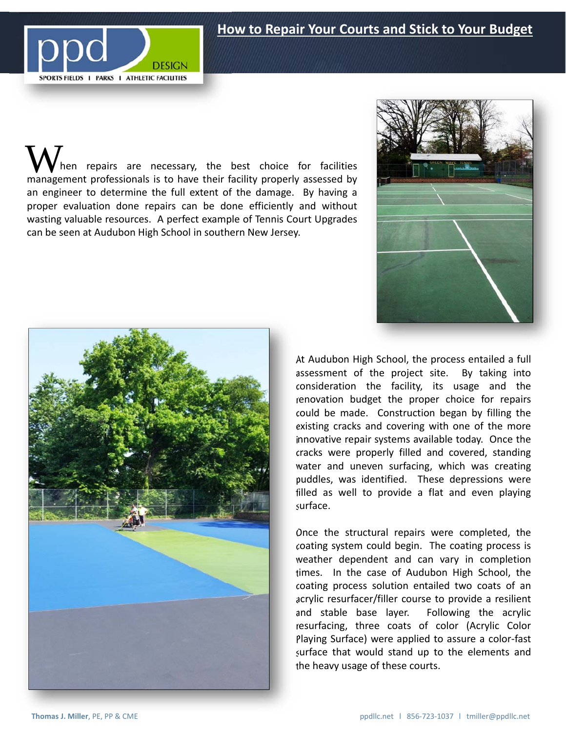## **How to Repair Your Courts and Stick to Your Budget**



hen repairs are necessary, the best choice for facilities When repairs are necessary, the best choice for facilities<br>management professionals is to have their facility properly assessed by an engineer to determine the full extent of the damage. By having a proper evaluation done repairs can be done efficiently and without wasting valuable resources. A perfect example of Tennis Court Upgrades can be seen at Audubon High School in southern New Jersey.





At Audubon High School, the process entailed a full assessment of the project site. By taking into consideration the facility, its usage and the renovation budget the proper choice for repairs could be made. Construction began by filling the existing cracks and covering with one of the more innovative repair systems available today. Once the cracks were properly filled and covered, standing water and uneven surfacing, which was creating puddles, was identified. These depressions were filled as well to provide a flat and even playing surface.

Once the structural repairs were completed, the coating system could begin. The coating process is weather dependent and can vary in completion times. In the case of Audubon High School, the coating process solution entailed two coats of an acrylic resurfacer/filler course to provide a resilient and stable base layer. Following the acrylic resurfacing, three coats of color (Acrylic Color Playing Surface) were applied to assure a color‐fast surface that would stand up to the elements and the heavy usage of these courts.